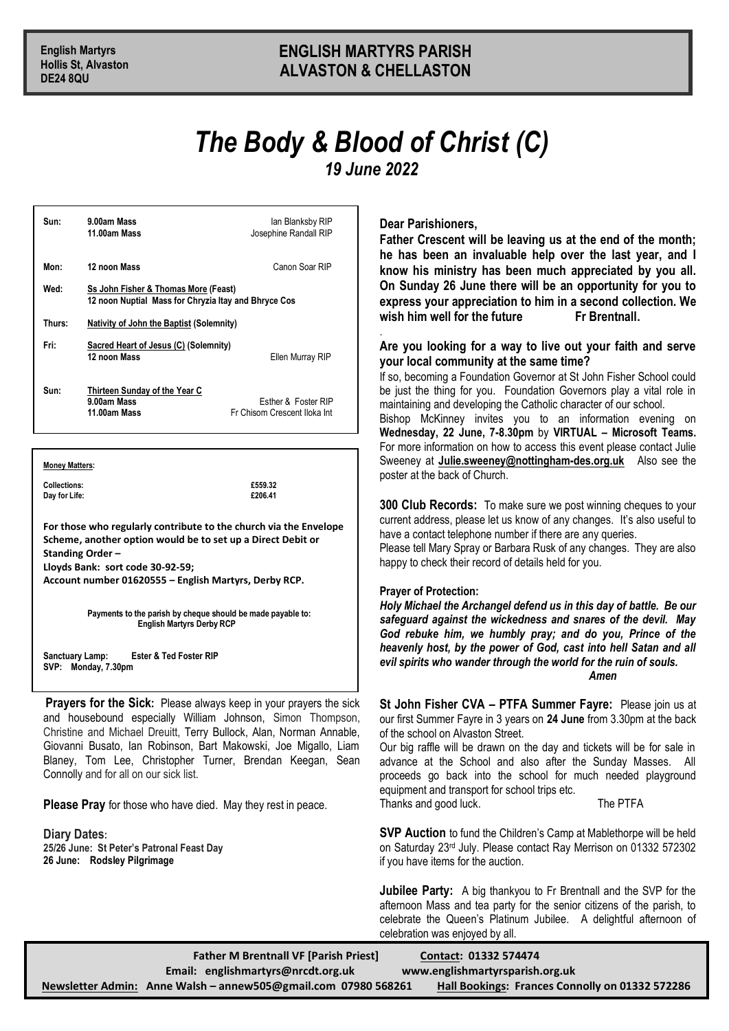# **English Martyrs ENGLISH MARTYRS PARISH Hollis St, Alvaston ALVASTON & CHELLASTON**

# *The Body & Blood of Christ (C) 19 June 2022*

.

| Sun:   | 9.00am Mass<br>11.00am Mass                                                                  | lan Blanksby RIP<br>Josephine Randall RIP           |
|--------|----------------------------------------------------------------------------------------------|-----------------------------------------------------|
| Mon:   | 12 noon Mass                                                                                 | Canon Soar RIP                                      |
| Wed:   | Ss John Fisher & Thomas More (Feast)<br>12 noon Nuptial Mass for Chryzia Itay and Bhryce Cos |                                                     |
| Thurs: | <b>Nativity of John the Baptist (Solemnity)</b>                                              |                                                     |
| Fri:   | Sacred Heart of Jesus (C) (Solemnity)<br>12 noon Mass                                        | Ellen Murray RIP                                    |
| Sun:   | Thirteen Sunday of the Year C<br>9.00am Mass<br>11.00am Mass                                 | Esther & Foster RIP<br>Fr Chisom Crescent Iloka Int |

**Money Matters:**

**Collections:** E559.32<br>
Day for Life: E206.41 **Day for Life:** 

**For those who regularly contribute to the church via the Envelope Scheme, another option would be to set up a Direct Debit or Standing Order –**

**Lloyds Bank: sort code 30-92-59;** 

**Account number 01620555 – English Martyrs, Derby RCP.**

**Payments to the parish by cheque should be made payable to: English Martyrs Derby RCP**

**Sanctuary Lamp: Ester & Ted Foster RIP SVP: Monday, 7.30pm**

**Prayers for the Sick:** Please always keep in your prayers the sick and housebound especially William Johnson, Simon Thompson, Christine and Michael Dreuitt, Terry Bullock, Alan, Norman Annable, Giovanni Busato, Ian Robinson, Bart Makowski, Joe Migallo, Liam Blaney, Tom Lee, Christopher Turner, Brendan Keegan, Sean Connolly and for all on our sick list.

**Please Pray** for those who have died. May they rest in peace.

**Diary Dates: 25/26 June: St Peter's Patronal Feast Day 26 June: Rodsley Pilgrimage**

**Dear Parishioners,**

**Father Crescent will be leaving us at the end of the month; he has been an invaluable help over the last year, and I know his ministry has been much appreciated by you all. On Sunday 26 June there will be an opportunity for you to express your appreciation to him in a second collection. We**  wish him well for the future **Fridder** Fr Brentnall.

## **Are you looking for a way to live out your faith and serve your local community at the same time?**

If so, becoming a Foundation Governor at St John Fisher School could be just the thing for you. Foundation Governors play a vital role in maintaining and developing the Catholic character of our school.

Bishop McKinney invites you to an information evening on **Wednesday, 22 June, 7-8.30pm** by **VIRTUAL – Microsoft Teams.**  For more information on how to access this event please contact Julie Sweeney at **[Julie.sweeney@nottingham-des.org.uk](mailto:Julie.sweeney@nottingham-des.org.uk)** Also see the poster at the back of Church.

**300 Club Records:** To make sure we post winning cheques to your current address, please let us know of any changes. It's also useful to have a contact telephone number if there are any queries.

Please tell Mary Spray or Barbara Rusk of any changes. They are also happy to check their record of details held for you.

#### **Prayer of Protection:**

*Holy Michael the Archangel defend us in this day of battle. Be our safeguard against the wickedness and snares of the devil. May God rebuke him, we humbly pray; and do you, Prince of the heavenly host, by the power of God, cast into hell Satan and all evil spirits who wander through the world for the ruin of souls. Amen* 

**St John Fisher CVA – PTFA Summer Fayre:** Please join us at our first Summer Fayre in 3 years on **24 June** from 3.30pm at the back of the school on Alvaston Street.

Our big raffle will be drawn on the day and tickets will be for sale in advance at the School and also after the Sunday Masses. All proceeds go back into the school for much needed playground equipment and transport for school trips etc. Thanks and good luck. The PTFA

**SVP Auction** to fund the Children's Camp at Mablethorpe will be held on Saturday 23rd July. Please contact Ray Merrison on 01332 572302 if you have items for the auction.

**Jubilee Party:** A big thankyou to Fr Brentnall and the SVP for the afternoon Mass and tea party for the senior citizens of the parish, to celebrate the Queen's Platinum Jubilee. A delightful afternoon of celebration was enjoyed by all.

| <b>Father M Brentnall VF [Parish Priest]</b>                    | Contact: 01332 574474                           |
|-----------------------------------------------------------------|-------------------------------------------------|
| Email: englishmartyrs@nrcdt.org.uk                              | www.englishmartyrsparish.org.uk                 |
| Newsletter Admin: Anne Walsh - annew 505@gmail.com 07980 568261 | Hall Bookings: Frances Connolly on 01332 572286 |